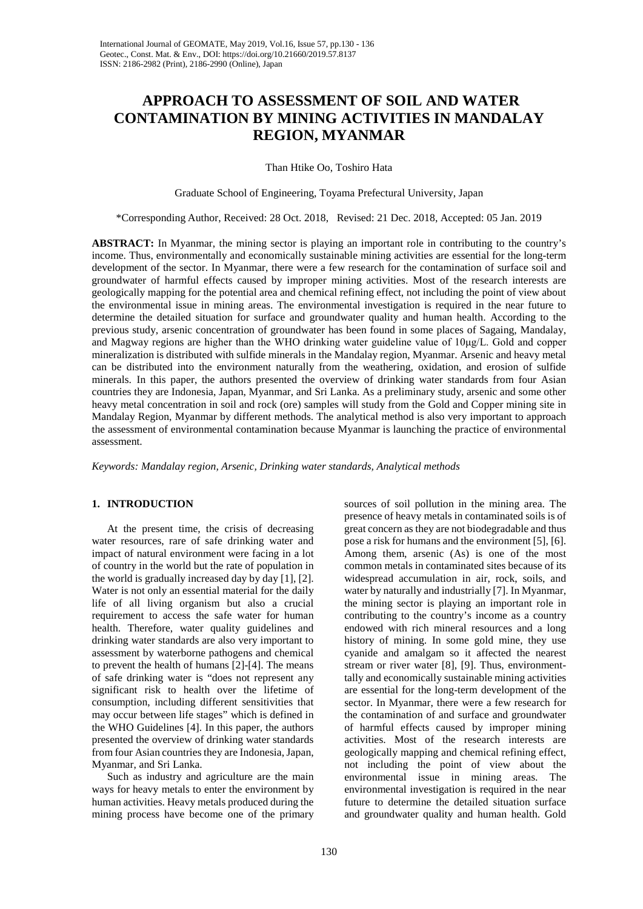# **APPROACH TO ASSESSMENT OF SOIL AND WATER CONTAMINATION BY MINING ACTIVITIES IN MANDALAY REGION, MYANMAR**

Than Htike Oo, Toshiro Hata

Graduate School of Engineering, Toyama Prefectural University, Japan

\*Corresponding Author, Received: 28 Oct. 2018, Revised: 21 Dec. 2018, Accepted: 05 Jan. 2019

**ABSTRACT:** In Myanmar, the mining sector is playing an important role in contributing to the country's income. Thus, environmentally and economically sustainable mining activities are essential for the long-term development of the sector. In Myanmar, there were a few research for the contamination of surface soil and groundwater of harmful effects caused by improper mining activities. Most of the research interests are geologically mapping for the potential area and chemical refining effect, not including the point of view about the environmental issue in mining areas. The environmental investigation is required in the near future to determine the detailed situation for surface and groundwater quality and human health. According to the previous study, arsenic concentration of groundwater has been found in some places of Sagaing, Mandalay, and Magway regions are higher than the WHO drinking water guideline value of 10μg/L. Gold and copper mineralization is distributed with sulfide minerals in the Mandalay region, Myanmar. Arsenic and heavy metal can be distributed into the environment naturally from the weathering, oxidation, and erosion of sulfide minerals. In this paper, the authors presented the overview of drinking water standards from four Asian countries they are Indonesia, Japan, Myanmar, and Sri Lanka. As a preliminary study, arsenic and some other heavy metal concentration in soil and rock (ore) samples will study from the Gold and Copper mining site in Mandalay Region, Myanmar by different methods. The analytical method is also very important to approach the assessment of environmental contamination because Myanmar is launching the practice of environmental assessment.

*Keywords: Mandalay region, Arsenic, Drinking water standards, Analytical methods*

### **1. INTRODUCTION**

At the present time, the crisis of decreasing water resources, rare of safe drinking water and impact of natural environment were facing in a lot of country in the world but the rate of population in the world is gradually increased day by day [1], [2]. Water is not only an essential material for the daily life of all living organism but also a crucial requirement to access the safe water for human health. Therefore, water quality guidelines and drinking water standards are also very important to assessment by waterborne pathogens and chemical to prevent the health of humans [2]-[4]. The means of safe drinking water is "does not represent any significant risk to health over the lifetime of consumption, including different sensitivities that may occur between life stages" which is defined in the WHO Guidelines [4]. In this paper, the authors presented the overview of drinking water standards from four Asian countries they are Indonesia, Japan, Myanmar, and Sri Lanka.

Such as industry and agriculture are the main ways for heavy metals to enter the environment by human activities. Heavy metals produced during the mining process have become one of the primary

sources of soil pollution in the mining area. The presence of heavy metals in contaminated soils is of great concern as they are not biodegradable and thus pose a risk for humans and the environment [5], [6]. Among them, arsenic (As) is one of the most common metals in contaminated sites because of its widespread accumulation in air, rock, soils, and water by naturally and industrially [7]. In Myanmar, the mining sector is playing an important role in contributing to the country's income as a country endowed with rich mineral resources and a long history of mining. In some gold mine, they use cyanide and amalgam so it affected the nearest stream or river water [8], [9]. Thus, environmenttally and economically sustainable mining activities are essential for the long-term development of the sector. In Myanmar, there were a few research for the contamination of and surface and groundwater of harmful effects caused by improper mining activities. Most of the research interests are geologically mapping and chemical refining effect, not including the point of view about the environmental issue in mining areas. The environmental investigation is required in the near future to determine the detailed situation surface and groundwater quality and human health. Gold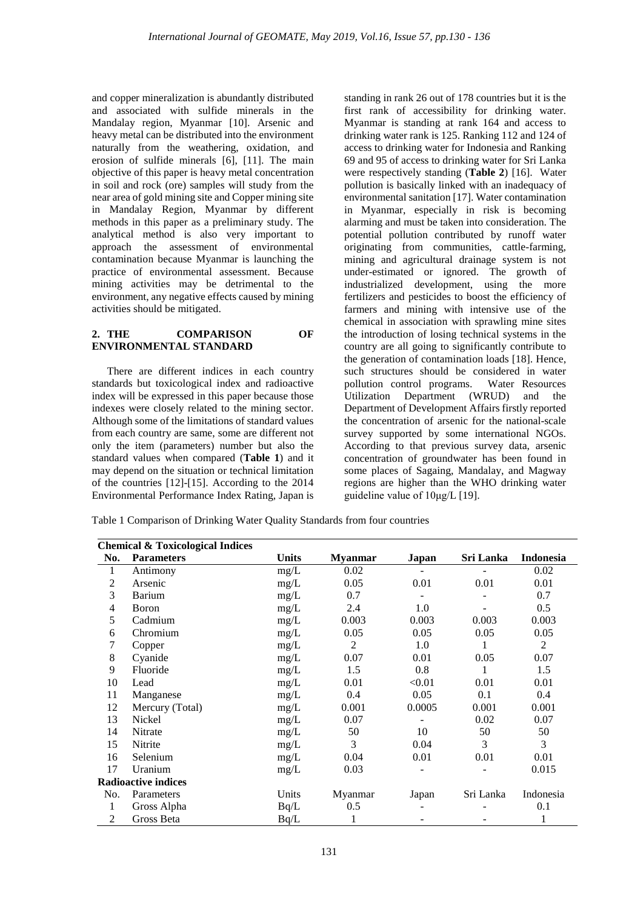and copper mineralization is abundantly distributed and associated with sulfide minerals in the Mandalay region, Myanmar [10]. Arsenic and heavy metal can be distributed into the environment naturally from the weathering, oxidation, and erosion of sulfide minerals [6], [11]. The main objective of this paper is heavy metal concentration in soil and rock (ore) samples will study from the near area of gold mining site and Copper mining site in Mandalay Region, Myanmar by different methods in this paper as a preliminary study. The analytical method is also very important to approach the assessment of environmental contamination because Myanmar is launching the practice of environmental assessment. Because mining activities may be detrimental to the environment, any negative effects caused by mining activities should be mitigated.

### **2. THE COMPARISON OF ENVIRONMENTAL STANDARD**

There are different indices in each country standards but toxicological index and radioactive index will be expressed in this paper because those indexes were closely related to the mining sector. Although some of the limitations of standard values from each country are same, some are different not only the item (parameters) number but also the standard values when compared (**Table 1**) and it may depend on the situation or technical limitation of the countries [12]-[15]. According to the 2014 Environmental Performance Index Rating, Japan is

standing in rank 26 out of 178 countries but it is the first rank of accessibility for drinking water. Myanmar is standing at rank 164 and access to drinking water rank is 125. Ranking 112 and 124 of access to drinking water for Indonesia and Ranking 69 and 95 of access to drinking water for Sri Lanka were respectively standing (**Table 2**) [16]. Water pollution is basically linked with an inadequacy of environmental sanitation [17]. Water contamination in Myanmar, especially in risk is becoming alarming and must be taken into consideration. The potential pollution contributed by runoff water originating from communities, cattle-farming, mining and agricultural drainage system is not under-estimated or ignored. The growth of industrialized development, using the more fertilizers and pesticides to boost the efficiency of farmers and mining with intensive use of the chemical in association with sprawling mine sites the introduction of losing technical systems in the country are all going to significantly contribute to the generation of contamination loads [18]. Hence, such structures should be considered in water pollution control programs. Water Resources Utilization Department (WRUD) and the Department of Development Affairs firstly reported the concentration of arsenic for the national-scale survey supported by some international NGOs. According to that previous survey data, arsenic concentration of groundwater has been found in some places of Sagaing, Mandalay, and Magway regions are higher than the WHO drinking water guideline value of 10μg/L [19].

Table 1 Comparison of Drinking Water Quality Standards from four countries

|                | <b>Chemical &amp; Toxicological Indices</b> |              |                |        |           |                  |
|----------------|---------------------------------------------|--------------|----------------|--------|-----------|------------------|
| No.            | <b>Parameters</b>                           | <b>Units</b> | <b>Myanmar</b> | Japan  | Sri Lanka | <b>Indonesia</b> |
| $\mathbf{1}$   | Antimony                                    | mg/L         | 0.02           |        |           | 0.02             |
| $\overline{2}$ | Arsenic                                     | mg/L         | 0.05           | 0.01   | 0.01      | 0.01             |
| 3              | Barium                                      | mg/L         | 0.7            |        |           | 0.7              |
| 4              | <b>B</b> oron                               | mg/L         | 2.4            | 1.0    |           | 0.5              |
| 5              | Cadmium                                     | mg/L         | 0.003          | 0.003  | 0.003     | 0.003            |
| 6              | Chromium                                    | mg/L         | 0.05           | 0.05   | 0.05      | 0.05             |
| 7              | Copper                                      | mg/L         | 2              | 1.0    |           | $\overline{2}$   |
| $\,8\,$        | Cyanide                                     | mg/L         | 0.07           | 0.01   | 0.05      | 0.07             |
| 9              | Fluoride                                    | mg/L         | 1.5            | 0.8    | 1         | 1.5              |
| 10             | Lead                                        | mg/L         | 0.01           | < 0.01 | 0.01      | 0.01             |
| 11             | Manganese                                   | mg/L         | 0.4            | 0.05   | 0.1       | 0.4              |
| 12             | Mercury (Total)                             | mg/L         | 0.001          | 0.0005 | 0.001     | 0.001            |
| 13             | Nickel                                      | mg/L         | 0.07           |        | 0.02      | 0.07             |
| 14             | Nitrate                                     | mg/L         | 50             | 10     | 50        | 50               |
| 15             | Nitrite                                     | mg/L         | 3              | 0.04   | 3         | 3                |
| 16             | Selenium                                    | mg/L         | 0.04           | 0.01   | 0.01      | 0.01             |
| 17             | Uranium                                     | mg/L         | 0.03           |        |           | 0.015            |
|                | <b>Radioactive indices</b>                  |              |                |        |           |                  |
| No.            | Parameters                                  | Units        | Myanmar        | Japan  | Sri Lanka | Indonesia        |
| 1              | Gross Alpha                                 | Bq/L         | 0.5            |        |           | 0.1              |
| $\mathfrak{2}$ | Gross Beta                                  | Bq/L         |                |        |           | 1                |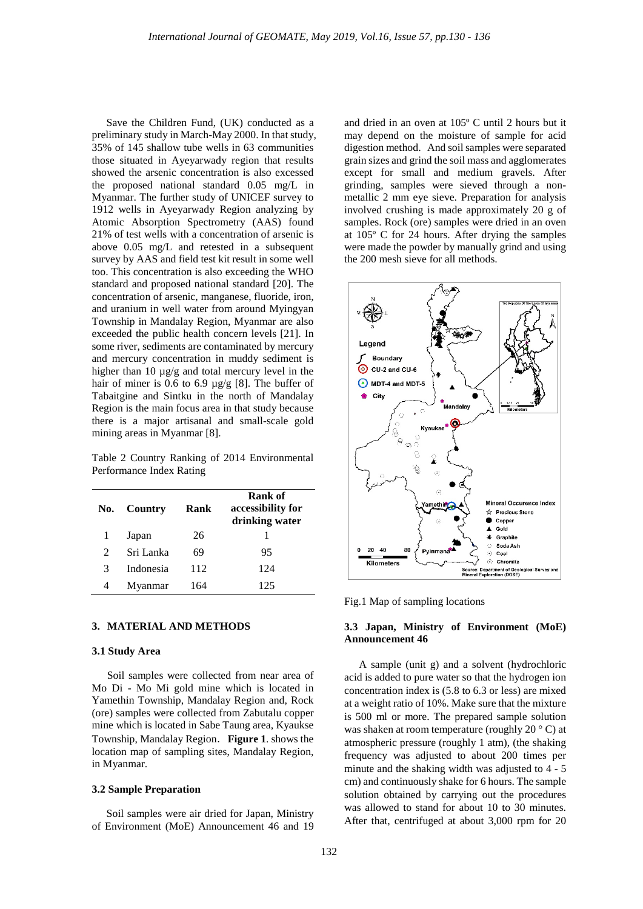Save the Children Fund, (UK) conducted as a preliminary study in March-May 2000. In that study, 35% of 145 shallow tube wells in 63 communities those situated in Ayeyarwady region that results showed the arsenic concentration is also excessed the proposed national standard 0.05 mg/L in Myanmar. The further study of UNICEF survey to 1912 wells in Ayeyarwady Region analyzing by Atomic Absorption Spectrometry (AAS) found 21% of test wells with a concentration of arsenic is above 0.05 mg/L and retested in a subsequent survey by AAS and field test kit result in some well too. This concentration is also exceeding the WHO standard and proposed national standard [20]. The concentration of arsenic, manganese, fluoride, iron, and uranium in well water from around Myingyan Township in Mandalay Region, Myanmar are also exceeded the public health concern levels [21]. In some river, sediments are contaminated by mercury and mercury concentration in muddy sediment is higher than 10  $\mu$ g/g and total mercury level in the hair of miner is 0.6 to 6.9  $\mu$ g/g [8]. The buffer of Tabaitgine and Sintku in the north of Mandalay Region is the main focus area in that study because there is a major artisanal and small-scale gold mining areas in Myanmar [8].

Table 2 Country Ranking of 2014 Environmental Performance Index Rating

| No.           | Country   | Rank | Rank of<br>accessibility for<br>drinking water |
|---------------|-----------|------|------------------------------------------------|
|               | Japan     | 26   |                                                |
| $\mathcal{L}$ | Sri Lanka | 69   | 95                                             |
| 3             | Indonesia | 112  | 124                                            |
|               | Myanmar   | 164  | 125                                            |

#### **3. MATERIAL AND METHODS**

#### **3.1 Study Area**

Soil samples were collected from near area of Mo Di - Mo Mi gold mine which is located in Yamethin Township, Mandalay Region and, Rock (ore) samples were collected from Zabutalu copper mine which is located in Sabe Taung area, Kyaukse Township, Mandalay Region.**Figure 1**. shows the location map of sampling sites, Mandalay Region, in Myanmar.

#### **3.2 Sample Preparation**

Soil samples were air dried for Japan, Ministry of Environment (MoE) Announcement 46 and 19 and dried in an oven at 105º C until 2 hours but it may depend on the moisture of sample for acid digestion method. And soil samples were separated grain sizes and grind the soil mass and agglomerates except for small and medium gravels. After grinding, samples were sieved through a nonmetallic 2 mm eye sieve. Preparation for analysis involved crushing is made approximately 20 g of samples. Rock (ore) samples were dried in an oven at 105º C for 24 hours. After drying the samples were made the powder by manually grind and using the 200 mesh sieve for all methods.



Fig.1 Map of sampling locations

#### **3.3 Japan, Ministry of Environment (MoE) Announcement 46**

A sample (unit g) and a solvent (hydrochloric acid is added to pure water so that the hydrogen ion concentration index is (5.8 to 6.3 or less) are mixed at a weight ratio of 10%. Make sure that the mixture is 500 ml or more. The prepared sample solution was shaken at room temperature (roughly 20 ° C) at atmospheric pressure (roughly 1 atm), (the shaking frequency was adjusted to about 200 times per minute and the shaking width was adjusted to 4 - 5 cm) and continuously shake for 6 hours. The sample solution obtained by carrying out the procedures was allowed to stand for about 10 to 30 minutes. After that, centrifuged at about 3,000 rpm for 20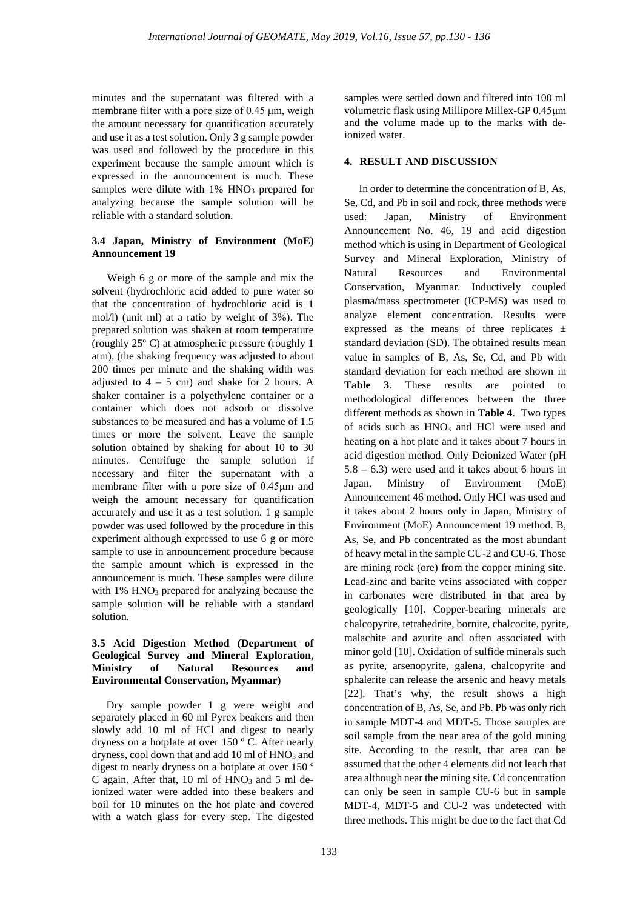minutes and the supernatant was filtered with a membrane filter with a pore size of 0.45 μm, weigh the amount necessary for quantification accurately and use it as a test solution. Only 3 g sample powder was used and followed by the procedure in this experiment because the sample amount which is expressed in the announcement is much. These samples were dilute with  $1\%$  HNO<sub>3</sub> prepared for analyzing because the sample solution will be reliable with a standard solution.

## **3.4 Japan, Ministry of Environment (MoE) Announcement 19**

Weigh 6 g or more of the sample and mix the solvent (hydrochloric acid added to pure water so that the concentration of hydrochloric acid is 1 mol/l) (unit ml) at a ratio by weight of 3%). The prepared solution was shaken at room temperature (roughly 25º C) at atmospheric pressure (roughly 1 atm), (the shaking frequency was adjusted to about 200 times per minute and the shaking width was adjusted to  $4 - 5$  cm) and shake for 2 hours. A shaker container is a polyethylene container or a container which does not adsorb or dissolve substances to be measured and has a volume of 1.5 times or more the solvent. Leave the sample solution obtained by shaking for about 10 to 30 minutes. Centrifuge the sample solution if necessary and filter the supernatant with a membrane filter with a pore size of 0.45μm and weigh the amount necessary for quantification accurately and use it as a test solution. 1 g sample powder was used followed by the procedure in this experiment although expressed to use 6 g or more sample to use in announcement procedure because the sample amount which is expressed in the announcement is much. These samples were dilute with  $1\%$  HNO<sub>3</sub> prepared for analyzing because the sample solution will be reliable with a standard solution.

# **3.5 Acid Digestion Method (Department of Geological Survey and Mineral Exploration, Ministry of Natural Resources and Environmental Conservation, Myanmar)**

Dry sample powder 1 g were weight and separately placed in 60 ml Pyrex beakers and then slowly add 10 ml of HCl and digest to nearly dryness on a hotplate at over 150 º C. After nearly dryness, cool down that and add  $10$  ml of  $HNO<sub>3</sub>$  and digest to nearly dryness on a hotplate at over 150 º C again. After that,  $10 \text{ ml of HNO}_3$  and  $5 \text{ ml}$  deionized water were added into these beakers and boil for 10 minutes on the hot plate and covered with a watch glass for every step. The digested

samples were settled down and filtered into 100 ml volumetric flask using Millipore Millex-GP 0.45μm and the volume made up to the marks with deionized water.

# **4. RESULT AND DISCUSSION**

In order to determine the concentration of B, As, Se, Cd, and Pb in soil and rock, three methods were used: Japan, Ministry of Environment Announcement No. 46, 19 and acid digestion method which is using in Department of Geological Survey and Mineral Exploration, Ministry of Natural Resources and Environmental Conservation, Myanmar. Inductively coupled plasma/mass spectrometer (ICP-MS) was used to analyze element concentration. Results were expressed as the means of three replicates  $\pm$ standard deviation (SD). The obtained results mean value in samples of B, As, Se, Cd, and Pb with standard deviation for each method are shown in **Table 3**. These results are pointed to methodological differences between the three different methods as shown in **Table 4**. Two types of acids such as  $HNO<sub>3</sub>$  and HCl were used and heating on a hot plate and it takes about 7 hours in acid digestion method. Only Deionized Water (pH 5.8 – 6.3) were used and it takes about 6 hours in Japan, Ministry of Environment (MoE) Announcement 46 method. Only HCl was used and it takes about 2 hours only in Japan, Ministry of Environment (MoE) Announcement 19 method. B, As, Se, and Pb concentrated as the most abundant of heavy metal in the sample CU-2 and CU-6. Those are mining rock (ore) from the copper mining site. Lead-zinc and barite veins associated with copper in carbonates were distributed in that area by geologically [10]. Copper-bearing minerals are chalcopyrite, tetrahedrite, bornite, chalcocite, pyrite, malachite and azurite and often associated with minor gold [10]. Oxidation of sulfide minerals such as pyrite, arsenopyrite, galena, chalcopyrite and sphalerite can release the arsenic and heavy metals [22]. That's why, the result shows a high concentration of B, As, Se, and Pb. Pb was only rich in sample MDT-4 and MDT-5. Those samples are soil sample from the near area of the gold mining site. According to the result, that area can be assumed that the other 4 elements did not leach that area although near the mining site. Cd concentration can only be seen in sample CU-6 but in sample MDT-4, MDT-5 and CU-2 was undetected with three methods. This might be due to the fact that Cd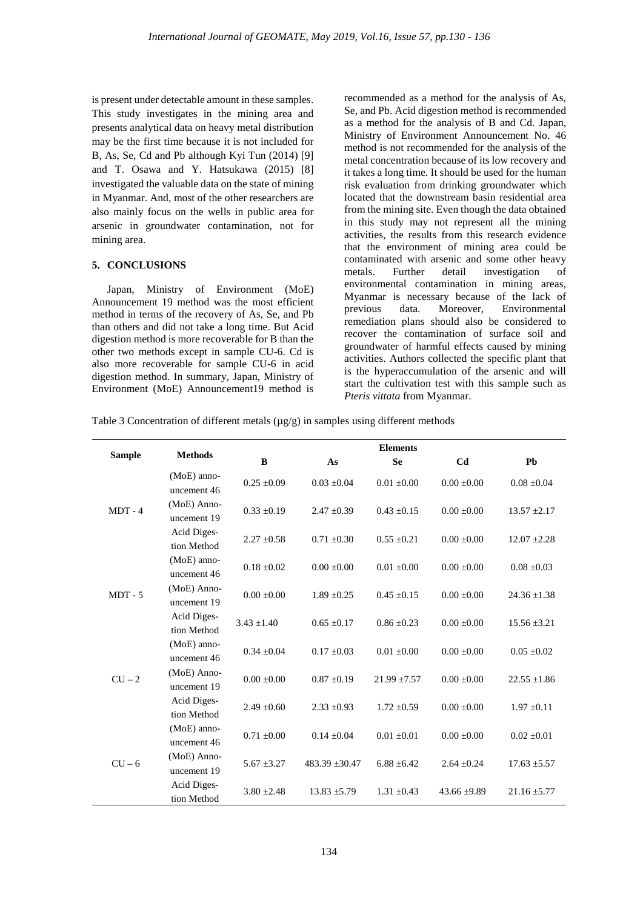is present under detectable amount in these samples. This study investigates in the mining area and presents analytical data on heavy metal distribution may be the first time because it is not included for B, As, Se, Cd and Pb although Kyi Tun (2014) [9] and T. Osawa and Y. Hatsukawa (2015) [8] investigated the valuable data on the state of mining in Myanmar. And, most of the other researchers are also mainly focus on the wells in public area for arsenic in groundwater contamination, not for mining area.

#### **5. CONCLUSIONS**

Japan, Ministry of Environment (MoE) Announcement 19 method was the most efficient method in terms of the recovery of As, Se, and Pb than others and did not take a long time. But Acid digestion method is more recoverable for B than the other two methods except in sample CU-6. Cd is also more recoverable for sample CU-6 in acid digestion method. In summary, Japan, Ministry of Environment (MoE) Announcement19 method is

recommended as a method for the analysis of As, Se, and Pb. Acid digestion method is recommended as a method for the analysis of B and Cd. Japan, Ministry of Environment Announcement No. 46 method is not recommended for the analysis of the metal concentration because of its low recovery and it takes a long time. It should be used for the human risk evaluation from drinking groundwater which located that the downstream basin residential area from the mining site. Even though the data obtained in this study may not represent all the mining activities, the results from this research evidence that the environment of mining area could be contaminated with arsenic and some other heavy metals. Further detail investigation of environmental contamination in mining areas, Myanmar is necessary because of the lack of previous data. Moreover, Environmental remediation plans should also be considered to recover the contamination of surface soil and groundwater of harmful effects caused by mining activities. Authors collected the specific plant that is the hyperaccumulation of the arsenic and will start the cultivation test with this sample such as *Pteris vittata* from Myanmar.

Table 3 Concentration of different metals ( $\mu$ g/g) in samples using different methods

|               | <b>Methods</b>               | <b>Elements</b> |                    |                  |                  |                  |  |
|---------------|------------------------------|-----------------|--------------------|------------------|------------------|------------------|--|
| <b>Sample</b> |                              | B               | As                 | <b>Se</b>        | C <sub>d</sub>   | Ph               |  |
|               | $(MoE)$ anno-<br>uncement 46 | $0.25 \pm 0.09$ | $0.03 \pm 0.04$    | $0.01 \pm 0.00$  | $0.00 \pm 0.00$  | $0.08 \pm 0.04$  |  |
| $MDT - 4$     | (MoE) Anno-<br>uncement 19   | $0.33 \pm 0.19$ | $2.47 \pm 0.39$    | $0.43 \pm 0.15$  | $0.00 \pm 0.00$  | $13.57 \pm 2.17$ |  |
|               | Acid Diges-<br>tion Method   | $2.27 \pm 0.58$ | $0.71 \pm 0.30$    | $0.55 \pm 0.21$  | $0.00 \pm 0.00$  | $12.07 \pm 2.28$ |  |
|               | (MoE) anno-<br>uncement 46   | $0.18 \pm 0.02$ | $0.00 \pm 0.00$    | $0.01 \pm 0.00$  | $0.00 \pm 0.00$  | $0.08 \pm 0.03$  |  |
| $MDT - 5$     | (MoE) Anno-<br>uncement 19   | $0.00 + 0.00$   | $1.89 \pm 0.25$    | $0.45 \pm 0.15$  | $0.00 \pm 0.00$  | $24.36 \pm 1.38$ |  |
|               | Acid Diges-<br>tion Method   | $3.43 \pm 1.40$ | $0.65 \pm 0.17$    | $0.86 \pm 0.23$  | $0.00 \pm 0.00$  | $15.56 \pm 3.21$ |  |
|               | (MoE) anno-<br>uncement 46   | $0.34 \pm 0.04$ | $0.17 \pm 0.03$    | $0.01 \pm 0.00$  | $0.00 \pm 0.00$  | $0.05 \pm 0.02$  |  |
| $CU - 2$      | (MoE) Anno-<br>uncement 19   | $0.00 \pm 0.00$ | $0.87 + 0.19$      | $21.99 \pm 7.57$ | $0.00 \pm 0.00$  | $22.55 \pm 1.86$ |  |
|               | Acid Diges-<br>tion Method   | $2.49 \pm 0.60$ | $2.33 \pm 0.93$    | $1.72 \pm 0.59$  | $0.00 \pm 0.00$  | $1.97 \pm 0.11$  |  |
|               | $(MoE)$ anno-<br>uncement 46 | $0.71 \pm 0.00$ | $0.14 \pm 0.04$    | $0.01 \pm 0.01$  | $0.00 \pm 0.00$  | $0.02 \pm 0.01$  |  |
| $CU - 6$      | (MoE) Anno-<br>uncement 19   | $5.67 \pm 3.27$ | $483.39 \pm 30.47$ | $6.88 \pm 6.42$  | $2.64 \pm 0.24$  | $17.63 \pm 5.57$ |  |
|               | Acid Diges-<br>tion Method   | $3.80 \pm 2.48$ | $13.83 \pm 5.79$   | $1.31 \pm 0.43$  | $43.66 \pm 9.89$ | $21.16 \pm 5.77$ |  |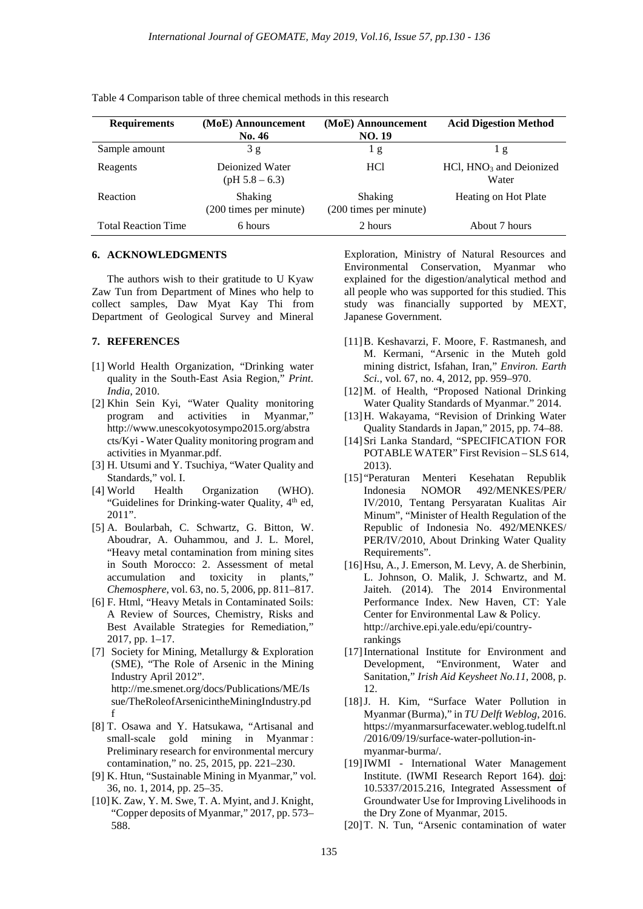| <b>Requirements</b>        | (MoE) Announcement<br><b>No. 46</b>      | (MoE) Announcement<br><b>NO. 19</b>      | <b>Acid Digestion Method</b>          |
|----------------------------|------------------------------------------|------------------------------------------|---------------------------------------|
| Sample amount              | 3 g                                      | 1g                                       | 1 g                                   |
| Reagents                   | Dejonized Water<br>$(pH 5.8 - 6.3)$      | HC <sub>1</sub>                          | $HC1$ , $HNO3$ and Deionized<br>Water |
| Reaction                   | <b>Shaking</b><br>(200 times per minute) | <b>Shaking</b><br>(200 times per minute) | Heating on Hot Plate                  |
| <b>Total Reaction Time</b> | 6 hours                                  | 2 hours                                  | About 7 hours                         |

Table 4 Comparison table of three chemical methods in this research

### **6. ACKNOWLEDGMENTS**

The authors wish to their gratitude to U Kyaw Zaw Tun from Department of Mines who help to collect samples, Daw Myat Kay Thi from Department of Geological Survey and Mineral

#### **7. REFERENCES**

- [1] World Health Organization, "Drinking water quality in the South-East Asia Region," *Print. India*, 2010.
- [2] Khin Sein Kyi, "Water Quality monitoring program and activities in Myanmar," http://www.unescokyotosympo2015.org/abstra cts/Kyi - Water Quality monitoring program and activities in Myanmar.pdf.
- [3] H. Utsumi and Y. Tsuchiya, "Water Quality and Standards," vol. I.
- [4] World Health Organization (WHO). "Guidelines for Drinking-water Quality, 4<sup>th</sup> ed, 2011".
- [5] A. Boularbah, C. Schwartz, G. Bitton, W. Aboudrar, A. Ouhammou, and J. L. Morel, "Heavy metal contamination from mining sites in South Morocco: 2. Assessment of metal accumulation and toxicity in plants," *Chemosphere*, vol. 63, no. 5, 2006, pp. 811–817.
- [6] F. Html, "Heavy Metals in Contaminated Soils: A Review of Sources, Chemistry, Risks and Best Available Strategies for Remediation," 2017, pp. 1–17.
- [7] Society for Mining, Metallurgy & Exploration (SME), "The Role of Arsenic in the Mining Industry April 2012". http://me.smenet.org/docs/Publications/ME/Is sue/TheRoleofArsenicintheMiningIndustry.pd f
- [8] T. Osawa and Y. Hatsukawa, "Artisanal and small-scale gold mining in Myanmar : Preliminary research for environmental mercury contamination," no. 25, 2015, pp. 221–230.
- [9] K. Htun, "Sustainable Mining in Myanmar," vol. 36, no. 1, 2014, pp. 25–35.
- [10]K. Zaw, Y. M. Swe, T. A. Myint, and J. Knight, "Copper deposits of Myanmar," 2017, pp. 573– 588.

Exploration, Ministry of Natural Resources and Environmental Conservation, Myanmar who explained for the digestion/analytical method and all people who was supported for this studied. This study was financially supported by MEXT, Japanese Government.

- [11]B. Keshavarzi, F. Moore, F. Rastmanesh, and M. Kermani, "Arsenic in the Muteh gold mining district, Isfahan, Iran," *Environ. Earth Sci.*, vol. 67, no. 4, 2012, pp. 959–970.
- [12]M. of Health, "Proposed National Drinking Water Quality Standards of Myanmar." 2014.
- [13]H. Wakayama, "Revision of Drinking Water Quality Standards in Japan," 2015, pp. 74–88.
- [14]Sri Lanka Standard, "SPECIFICATION FOR POTABLE WATER" First Revision – SLS 614, 2013).
- [15] "Peraturan Menteri Kesehatan Republik Indonesia NOMOR 492/MENKES/PER/ IV/2010, Tentang Persyaratan Kualitas Air Minum", "Minister of Health Regulation of the Republic of Indonesia No. 492/MENKES/ PER/IV/2010, About Drinking Water Quality Requirements".
- [16]Hsu, A., J. Emerson, M. Levy, A. de Sherbinin, L. Johnson, O. Malik, J. Schwartz, and M. Jaiteh. (2014). The 2014 Environmental Performance Index. New Haven, CT: Yale Center for Environmental Law & Policy. http://archive.epi.yale.edu/epi/countryrankings
- [17]International Institute for Environment and Development, "Environment, Water and Sanitation," *Irish Aid Keysheet No.11*, 2008, p. 12.
- [18]J. H. Kim, "Surface Water Pollution in Myanmar (Burma)," in *TU Delft Weblog*, 2016. https://myanmarsurfacewater.weblog.tudelft.nl /2016/09/19/surface-water-pollution-inmyanmar-burma/.
- [19]IWMI International Water Management Institute. (IWMI Research Report 164). doi: 10.5337/2015.216, Integrated Assessment of Groundwater Use for Improving Livelihoods in the Dry Zone of Myanmar, 2015.
- [20]T. N. Tun, "Arsenic contamination of water